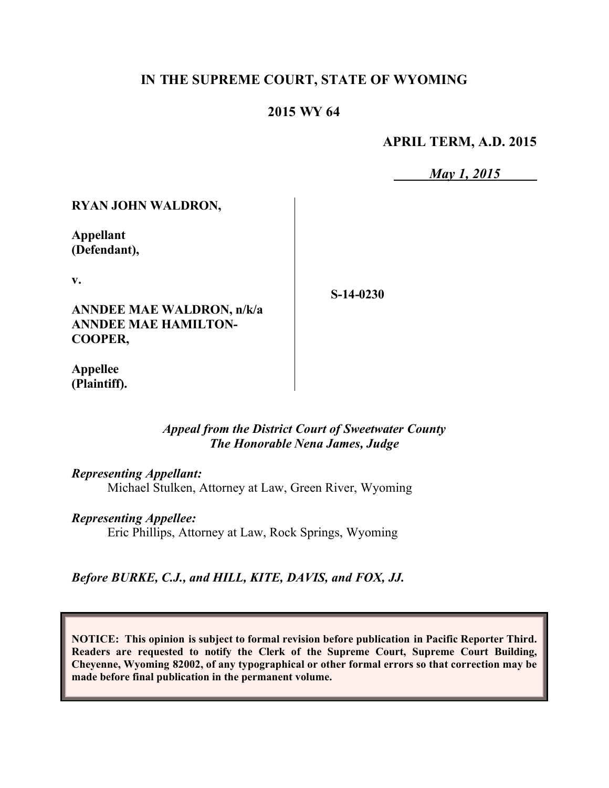# **IN THE SUPREME COURT, STATE OF WYOMING**

## **2015 WY 64**

**APRIL TERM, A.D. 2015**

*May 1, 2015*

### **RYAN JOHN WALDRON,**

**Appellant (Defendant),**

**v.**

**ANNDEE MAE WALDRON, n/k/a ANNDEE MAE HAMILTON-COOPER,**

**S-14-0230**

**Appellee (Plaintiff).**

### *Appeal from the District Court of Sweetwater County The Honorable Nena James, Judge*

#### *Representing Appellant:*

Michael Stulken, Attorney at Law, Green River, Wyoming

#### *Representing Appellee:*

Eric Phillips, Attorney at Law, Rock Springs, Wyoming

*Before BURKE, C.J., and HILL, KITE, DAVIS, and FOX, JJ.*

**NOTICE: This opinion is subject to formal revision before publication in Pacific Reporter Third. Readers are requested to notify the Clerk of the Supreme Court, Supreme Court Building, Cheyenne, Wyoming 82002, of any typographical or other formal errors so that correction may be made before final publication in the permanent volume.**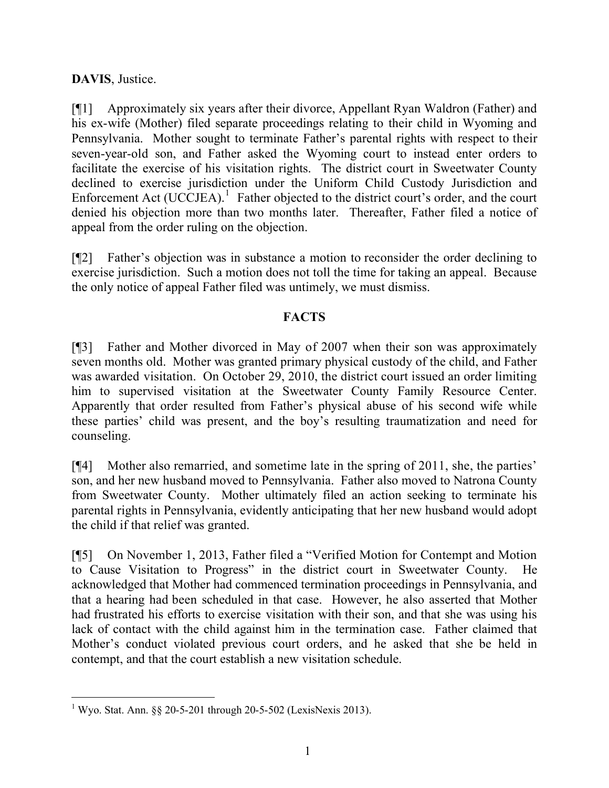# **DAVIS**, Justice.

[¶1] Approximately six years after their divorce, Appellant Ryan Waldron (Father) and his ex-wife (Mother) filed separate proceedings relating to their child in Wyoming and Pennsylvania. Mother sought to terminate Father's parental rights with respect to their seven-year-old son, and Father asked the Wyoming court to instead enter orders to facilitate the exercise of his visitation rights. The district court in Sweetwater County declined to exercise jurisdiction under the Uniform Child Custody Jurisdiction and Enforcement Act  $(UCCJEA)$ <sup>1</sup> Father objected to the district court's order, and the court denied his objection more than two months later. Thereafter, Father filed a notice of appeal from the order ruling on the objection.

[¶2] Father's objection was in substance a motion to reconsider the order declining to exercise jurisdiction. Such a motion does not toll the time for taking an appeal. Because the only notice of appeal Father filed was untimely, we must dismiss.

## **FACTS**

[¶3] Father and Mother divorced in May of 2007 when their son was approximately seven months old. Mother was granted primary physical custody of the child, and Father was awarded visitation. On October 29, 2010, the district court issued an order limiting him to supervised visitation at the Sweetwater County Family Resource Center. Apparently that order resulted from Father's physical abuse of his second wife while these parties' child was present, and the boy's resulting traumatization and need for counseling.

[¶4] Mother also remarried, and sometime late in the spring of 2011, she, the parties' son, and her new husband moved to Pennsylvania. Father also moved to Natrona County from Sweetwater County. Mother ultimately filed an action seeking to terminate his parental rights in Pennsylvania, evidently anticipating that her new husband would adopt the child if that relief was granted.

[¶5] On November 1, 2013, Father filed a "Verified Motion for Contempt and Motion to Cause Visitation to Progress" in the district court in Sweetwater County. acknowledged that Mother had commenced termination proceedings in Pennsylvania, and that a hearing had been scheduled in that case. However, he also asserted that Mother had frustrated his efforts to exercise visitation with their son, and that she was using his lack of contact with the child against him in the termination case. Father claimed that Mother's conduct violated previous court orders, and he asked that she be held in contempt, and that the court establish a new visitation schedule.

 $\overline{a}$ <sup>1</sup> Wyo. Stat. Ann. §§ 20-5-201 through 20-5-502 (LexisNexis 2013).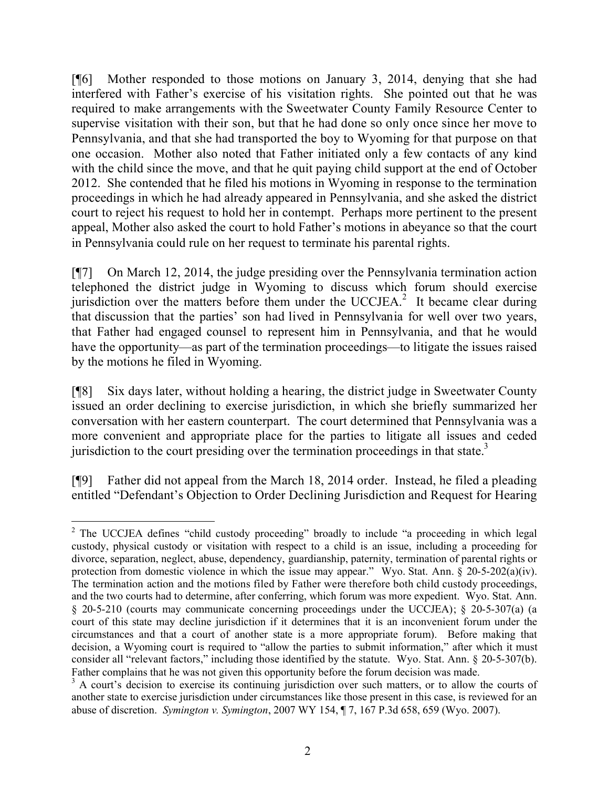[¶6] Mother responded to those motions on January 3, 2014, denying that she had interfered with Father's exercise of his visitation rights. She pointed out that he was required to make arrangements with the Sweetwater County Family Resource Center to supervise visitation with their son, but that he had done so only once since her move to Pennsylvania, and that she had transported the boy to Wyoming for that purpose on that one occasion. Mother also noted that Father initiated only a few contacts of any kind with the child since the move, and that he quit paying child support at the end of October 2012. She contended that he filed his motions in Wyoming in response to the termination proceedings in which he had already appeared in Pennsylvania, and she asked the district court to reject his request to hold her in contempt. Perhaps more pertinent to the present appeal, Mother also asked the court to hold Father's motions in abeyance so that the court in Pennsylvania could rule on her request to terminate his parental rights.

[¶7] On March 12, 2014, the judge presiding over the Pennsylvania termination action telephoned the district judge in Wyoming to discuss which forum should exercise jurisdiction over the matters before them under the UCCJEA.<sup>2</sup> It became clear during that discussion that the parties' son had lived in Pennsylvania for well over two years, that Father had engaged counsel to represent him in Pennsylvania, and that he would have the opportunity—as part of the termination proceedings—to litigate the issues raised by the motions he filed in Wyoming.

[¶8] Six days later, without holding a hearing, the district judge in Sweetwater County issued an order declining to exercise jurisdiction, in which she briefly summarized her conversation with her eastern counterpart. The court determined that Pennsylvania was a more convenient and appropriate place for the parties to litigate all issues and ceded jurisdiction to the court presiding over the termination proceedings in that state.<sup>3</sup>

[¶9] Father did not appeal from the March 18, 2014 order. Instead, he filed a pleading entitled "Defendant's Objection to Order Declining Jurisdiction and Request for Hearing

 <sup>2</sup> The UCCJEA defines "child custody proceeding" broadly to include "a proceeding in which legal custody, physical custody or visitation with respect to a child is an issue, including a proceeding for divorce, separation, neglect, abuse, dependency, guardianship, paternity, termination of parental rights or protection from domestic violence in which the issue may appear." Wyo. Stat. Ann. § 20-5-202(a)(iv). The termination action and the motions filed by Father were therefore both child custody proceedings, and the two courts had to determine, after conferring, which forum was more expedient. Wyo. Stat. Ann. § 20-5-210 (courts may communicate concerning proceedings under the UCCJEA); § 20-5-307(a) (a court of this state may decline jurisdiction if it determines that it is an inconvenient forum under the circumstances and that a court of another state is a more appropriate forum). Before making that decision, a Wyoming court is required to "allow the parties to submit information," after which it must consider all "relevant factors," including those identified by the statute. Wyo. Stat. Ann. § 20-5-307(b). Father complains that he was not given this opportunity before the forum decision was made.

<sup>&</sup>lt;sup>3</sup> A court's decision to exercise its continuing jurisdiction over such matters, or to allow the courts of another state to exercise jurisdiction under circumstances like those present in this case, is reviewed for an abuse of discretion. *Symington v. Symington*, 2007 WY 154, ¶ 7, 167 P.3d 658, 659 (Wyo. 2007).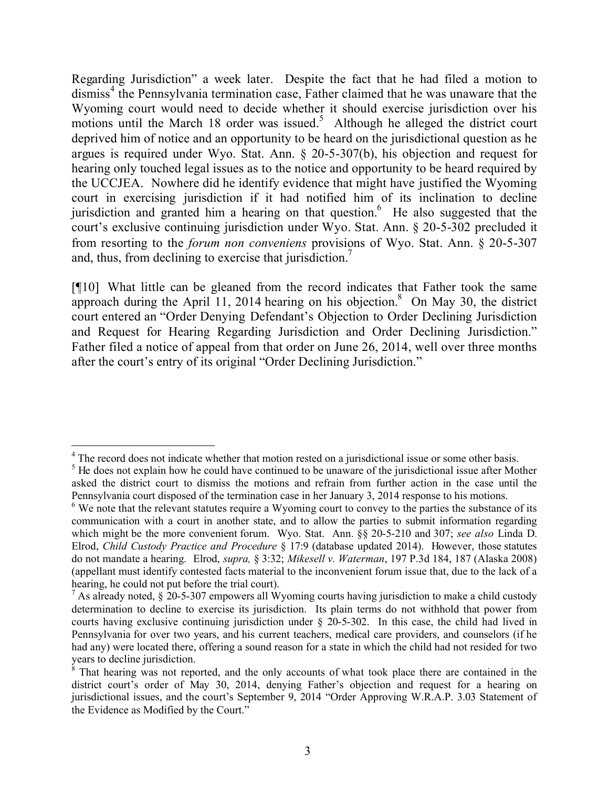Regarding Jurisdiction" a week later. Despite the fact that he had filed a motion to dismiss<sup>4</sup> the Pennsylvania termination case, Father claimed that he was unaware that the Wyoming court would need to decide whether it should exercise jurisdiction over his motions until the March 18 order was issued.<sup>5</sup> Although he alleged the district court deprived him of notice and an opportunity to be heard on the jurisdictional question as he argues is required under Wyo. Stat. Ann. § 20-5-307(b), his objection and request for hearing only touched legal issues as to the notice and opportunity to be heard required by the UCCJEA. Nowhere did he identify evidence that might have justified the Wyoming court in exercising jurisdiction if it had notified him of its inclination to decline jurisdiction and granted him a hearing on that question. He also suggested that the court's exclusive continuing jurisdiction under Wyo. Stat. Ann. § 20-5-302 precluded it from resorting to the *forum non conveniens* provisions of Wyo. Stat. Ann. § 20-5-307 and, thus, from declining to exercise that jurisdiction.<sup>7</sup>

[¶10] What little can be gleaned from the record indicates that Father took the same approach during the April 11, 2014 hearing on his objection.<sup>8</sup> On May 30, the district court entered an "Order Denying Defendant's Objection to Order Declining Jurisdiction and Request for Hearing Regarding Jurisdiction and Order Declining Jurisdiction." Father filed a notice of appeal from that order on June 26, 2014, well over three months after the court's entry of its original "Order Declining Jurisdiction."

 <sup>4</sup> The record does not indicate whether that motion rested on a jurisdictional issue or some other basis.

<sup>&</sup>lt;sup>5</sup> He does not explain how he could have continued to be unaware of the jurisdictional issue after Mother asked the district court to dismiss the motions and refrain from further action in the case until the Pennsylvania court disposed of the termination case in her January 3, 2014 response to his motions.

<sup>&</sup>lt;sup>6</sup> We note that the relevant statutes require a Wyoming court to convey to the parties the substance of its communication with a court in another state, and to allow the parties to submit information regarding which might be the more convenient forum. Wyo. Stat. Ann. §§ 20-5-210 and 307; *see also* Linda D. Elrod, *Child Custody Practice and Procedure* § 17:9 (database updated 2014). However, those statutes do not mandate a hearing. Elrod, *supra,* § 3:32; *Mikesell v. Waterman*, 197 P.3d 184, 187 (Alaska 2008) (appellant must identify contested facts material to the inconvenient forum issue that, due to the lack of a hearing, he could not put before the trial court).

 $<sup>7</sup>$  As already noted, § 20-5-307 empowers all Wyoming courts having jurisdiction to make a child custody</sup> determination to decline to exercise its jurisdiction. Its plain terms do not withhold that power from courts having exclusive continuing jurisdiction under § 20-5-302. In this case, the child had lived in Pennsylvania for over two years, and his current teachers, medical care providers, and counselors (if he had any) were located there, offering a sound reason for a state in which the child had not resided for two years to decline jurisdiction.

 $8$  That hearing was not reported, and the only accounts of what took place there are contained in the district court's order of May 30, 2014, denying Father's objection and request for a hearing on jurisdictional issues, and the court's September 9, 2014 "Order Approving W.R.A.P. 3.03 Statement of the Evidence as Modified by the Court."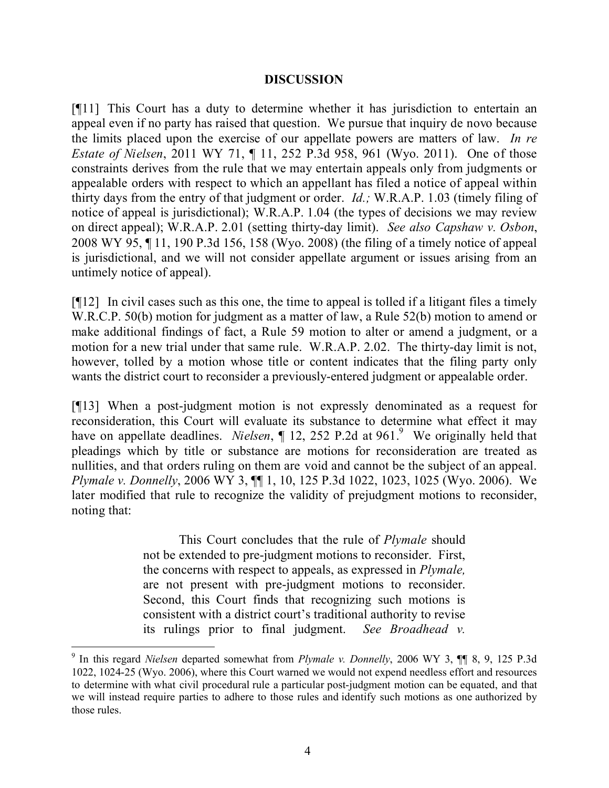### **DISCUSSION**

[¶11] This Court has a duty to determine whether it has jurisdiction to entertain an appeal even if no party has raised that question. We pursue that inquiry de novo because the limits placed upon the exercise of our appellate powers are matters of law. *In re Estate of Nielsen*, 2011 WY 71, ¶ 11, 252 P.3d 958, 961 (Wyo. 2011). One of those constraints derives from the rule that we may entertain appeals only from judgments or appealable orders with respect to which an appellant has filed a notice of appeal within thirty days from the entry of that judgment or order. *Id.;* W.R.A.P. 1.03 (timely filing of notice of appeal is jurisdictional); W.R.A.P. 1.04 (the types of decisions we may review on direct appeal); W.R.A.P. 2.01 (setting thirty-day limit). *See also Capshaw v. Osbon*, 2008 WY 95, ¶ 11, 190 P.3d 156, 158 (Wyo. 2008) (the filing of a timely notice of appeal is jurisdictional, and we will not consider appellate argument or issues arising from an untimely notice of appeal).

 $[912]$  In civil cases such as this one, the time to appeal is tolled if a litigant files a timely W.R.C.P. 50(b) motion for judgment as a matter of law, a Rule 52(b) motion to amend or make additional findings of fact, a Rule 59 motion to alter or amend a judgment, or a motion for a new trial under that same rule. W.R.A.P. 2.02. The thirty-day limit is not, however, tolled by a motion whose title or content indicates that the filing party only wants the district court to reconsider a previously-entered judgment or appealable order.

[¶13] When a post-judgment motion is not expressly denominated as a request for reconsideration, this Court will evaluate its substance to determine what effect it may have on appellate deadlines. *Nielsen*, ¶ 12, 252 P.2d at 961.<sup>9</sup> We originally held that pleadings which by title or substance are motions for reconsideration are treated as nullities, and that orders ruling on them are void and cannot be the subject of an appeal. *Plymale v. Donnelly*, 2006 WY 3, ¶¶ 1, 10, 125 P.3d 1022, 1023, 1025 (Wyo. 2006). We later modified that rule to recognize the validity of prejudgment motions to reconsider, noting that:

> This Court concludes that the rule of *Plymale* should not be extended to pre-judgment motions to reconsider. First, the concerns with respect to appeals, as expressed in *Plymale,* are not present with pre-judgment motions to reconsider. Second, this Court finds that recognizing such motions is consistent with a district court's traditional authority to revise its rulings prior to final judgment. *See Broadhead v.*

 9 In this regard *Nielsen* departed somewhat from *Plymale v. Donnelly*, 2006 WY 3, ¶¶ 8, 9, 125 P.3d 1022, 1024-25 (Wyo. 2006), where this Court warned we would not expend needless effort and resources to determine with what civil procedural rule a particular post-judgment motion can be equated, and that we will instead require parties to adhere to those rules and identify such motions as one authorized by those rules.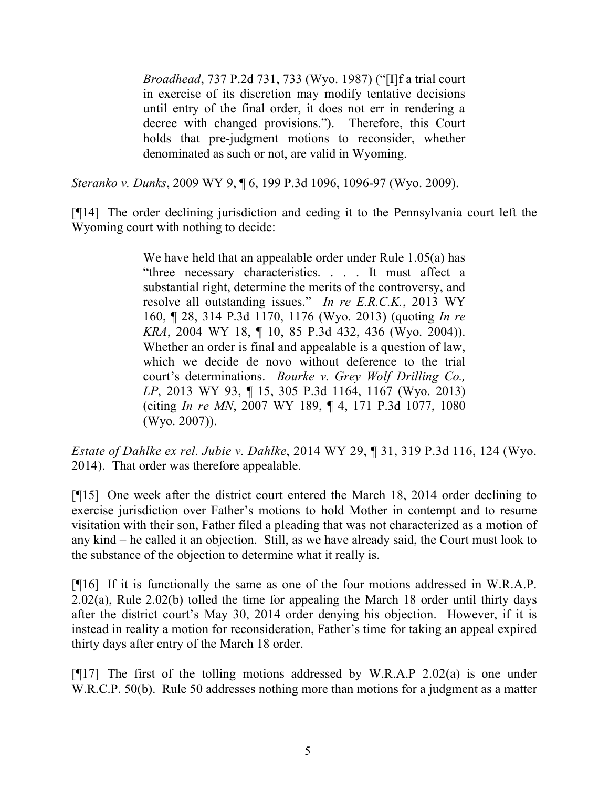*Broadhead*, 737 P.2d 731, 733 (Wyo. 1987) ("[I]f a trial court in exercise of its discretion may modify tentative decisions until entry of the final order, it does not err in rendering a decree with changed provisions."). Therefore, this Court holds that pre-judgment motions to reconsider, whether denominated as such or not, are valid in Wyoming.

*Steranko v. Dunks*, 2009 WY 9, ¶ 6, 199 P.3d 1096, 1096-97 (Wyo. 2009).

[¶14] The order declining jurisdiction and ceding it to the Pennsylvania court left the Wyoming court with nothing to decide:

> We have held that an appealable order under Rule 1.05(a) has "three necessary characteristics. . . . It must affect a substantial right, determine the merits of the controversy, and resolve all outstanding issues." *In re E.R.C.K.*, 2013 WY 160, ¶ 28, 314 P.3d 1170, 1176 (Wyo. 2013) (quoting *In re KRA*, 2004 WY 18, ¶ 10, 85 P.3d 432, 436 (Wyo. 2004)). Whether an order is final and appealable is a question of law, which we decide de novo without deference to the trial court's determinations. *Bourke v. Grey Wolf Drilling Co., LP*, 2013 WY 93, ¶ 15, 305 P.3d 1164, 1167 (Wyo. 2013) (citing *In re MN*, 2007 WY 189, ¶ 4, 171 P.3d 1077, 1080 (Wyo. 2007)).

*Estate of Dahlke ex rel. Jubie v. Dahlke*, 2014 WY 29, ¶ 31, 319 P.3d 116, 124 (Wyo. 2014). That order was therefore appealable.

[¶15] One week after the district court entered the March 18, 2014 order declining to exercise jurisdiction over Father's motions to hold Mother in contempt and to resume visitation with their son, Father filed a pleading that was not characterized as a motion of any kind – he called it an objection. Still, as we have already said, the Court must look to the substance of the objection to determine what it really is.

[¶16] If it is functionally the same as one of the four motions addressed in W.R.A.P. 2.02(a), Rule 2.02(b) tolled the time for appealing the March 18 order until thirty days after the district court's May 30, 2014 order denying his objection. However, if it is instead in reality a motion for reconsideration, Father's time for taking an appeal expired thirty days after entry of the March 18 order.

[ $[17]$ ] The first of the tolling motions addressed by W.R.A.P 2.02(a) is one under W.R.C.P. 50(b). Rule 50 addresses nothing more than motions for a judgment as a matter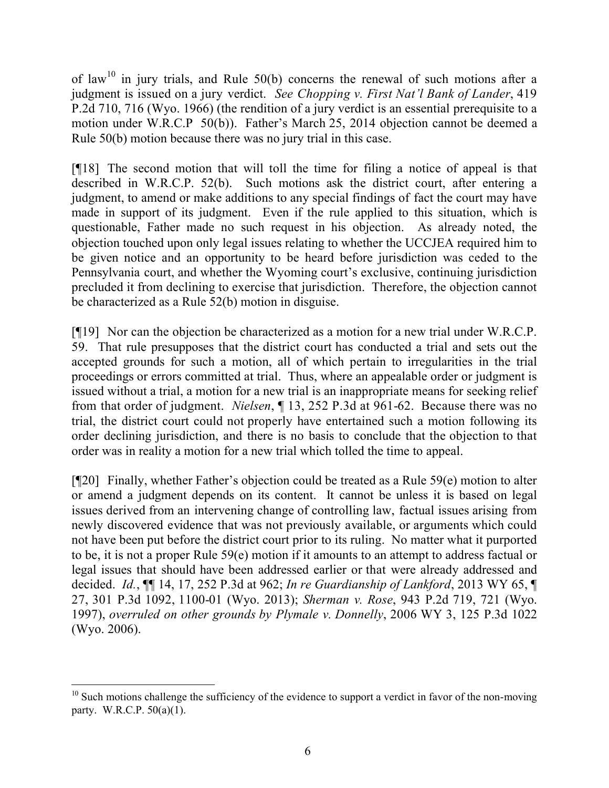of law<sup>10</sup> in jury trials, and Rule 50(b) concerns the renewal of such motions after a judgment is issued on a jury verdict. *See Chopping v. First Nat'l Bank of Lander*, 419 P.2d 710, 716 (Wyo. 1966) (the rendition of a jury verdict is an essential prerequisite to a motion under W.R.C.P 50(b)). Father's March 25, 2014 objection cannot be deemed a Rule 50(b) motion because there was no jury trial in this case.

[¶18] The second motion that will toll the time for filing a notice of appeal is that described in W.R.C.P. 52(b). Such motions ask the district court, after entering a judgment, to amend or make additions to any special findings of fact the court may have made in support of its judgment. Even if the rule applied to this situation, which is questionable, Father made no such request in his objection. As already noted, the objection touched upon only legal issues relating to whether the UCCJEA required him to be given notice and an opportunity to be heard before jurisdiction was ceded to the Pennsylvania court, and whether the Wyoming court's exclusive, continuing jurisdiction precluded it from declining to exercise that jurisdiction. Therefore, the objection cannot be characterized as a Rule 52(b) motion in disguise.

[¶19] Nor can the objection be characterized as a motion for a new trial under W.R.C.P. 59. That rule presupposes that the district court has conducted a trial and sets out the accepted grounds for such a motion, all of which pertain to irregularities in the trial proceedings or errors committed at trial. Thus, where an appealable order or judgment is issued without a trial, a motion for a new trial is an inappropriate means for seeking relief from that order of judgment. *Nielsen*, ¶ 13, 252 P.3d at 961-62. Because there was no trial, the district court could not properly have entertained such a motion following its order declining jurisdiction, and there is no basis to conclude that the objection to that order was in reality a motion for a new trial which tolled the time to appeal.

 $[$ [[20] Finally, whether Father's objection could be treated as a Rule 59(e) motion to alter or amend a judgment depends on its content. It cannot be unless it is based on legal issues derived from an intervening change of controlling law, factual issues arising from newly discovered evidence that was not previously available, or arguments which could not have been put before the district court prior to its ruling. No matter what it purported to be, it is not a proper Rule 59(e) motion if it amounts to an attempt to address factual or legal issues that should have been addressed earlier or that were already addressed and decided. *Id.*, ¶¶ 14, 17, 252 P.3d at 962; *In re Guardianship of Lankford*, 2013 WY 65, ¶ 27, 301 P.3d 1092, 1100-01 (Wyo. 2013); *Sherman v. Rose*, 943 P.2d 719, 721 (Wyo. 1997), *overruled on other grounds by Plymale v. Donnelly*, 2006 WY 3, 125 P.3d 1022 (Wyo. 2006).

 $10$  Such motions challenge the sufficiency of the evidence to support a verdict in favor of the non-moving party. W.R.C.P. 50(a)(1).